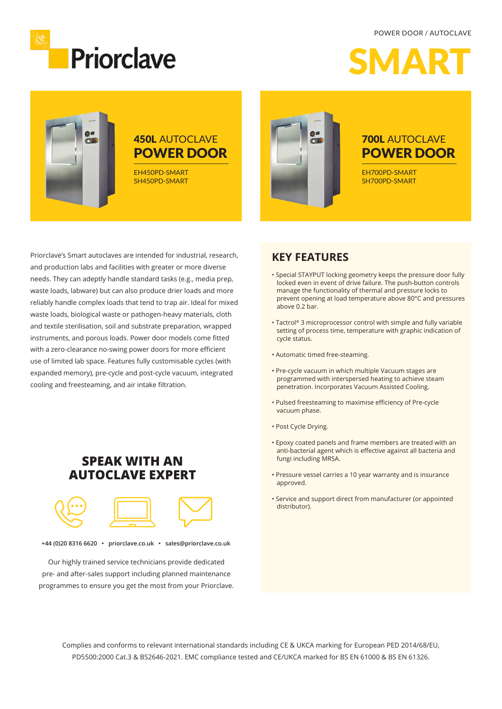#### POWER DOOR / AUTOCLAVE





## 450L AUTOCLAVE POWER DOOR

EH450PD-SMART SH450PD-SMART



### 700L AUTOCLAVE POWER DOOR

EH700PD-SMART SH700PD-SMART

Priorclave's Smart autoclaves are intended for industrial, research, and production labs and facilities with greater or more diverse needs. They can adeptly handle standard tasks (e.g., media prep, waste loads, labware) but can also produce drier loads and more reliably handle complex loads that tend to trap air. Ideal for mixed waste loads, biological waste or pathogen-heavy materials, cloth and textile sterilisation, soil and substrate preparation, wrapped instruments, and porous loads. Power door models come fitted with a zero-clearance no-swing power doors for more efficient use of limited lab space. Features fully customisable cycles (with expanded memory), pre-cycle and post-cycle vacuum, integrated cooling and freesteaming, and air intake filtration.

### **SPEAK WITH AN AUTOCLAVE EXPERT**



**+44 (0)20 8316 6620 • priorclave.co.uk • sales@priorclave.co.uk**

Our highly trained service technicians provide dedicated pre- and after-sales support including planned maintenance programmes to ensure you get the most from your Priorclave.

#### **KEY FEATURES**

- Special STAYPUT locking geometry keeps the pressure door fully locked even in event of drive failure. The push-button controls manage the functionality of thermal and pressure locks to prevent opening at load temperature above 80°C and pressures above 0.2 bar.
- Tactrol® 3 microprocessor control with simple and fully variable setting of process time, temperature with graphic indication of cycle status.
- Automatic timed free-steaming.
- Pre-cycle vacuum in which multiple Vacuum stages are programmed with interspersed heating to achieve steam penetration. Incorporates Vacuum Assisted Cooling.
- Pulsed freesteaming to maximise efficiency of Pre-cycle vacuum phase.
- Post Cycle Drying.
- Epoxy coated panels and frame members are treated with an anti-bacterial agent which is effective against all bacteria and fungi including MRSA.
- Pressure vessel carries a 10 year warranty and is insurance approved.
- Service and support direct from manufacturer (or appointed distributor).

Complies and conforms to relevant international standards including CE & UKCA marking for European PED 2014/68/EU, PD5500:2000 Cat.3 & BS2646-2021. EMC compliance tested and CE/UKCA marked for BS EN 61000 & BS EN 61326.